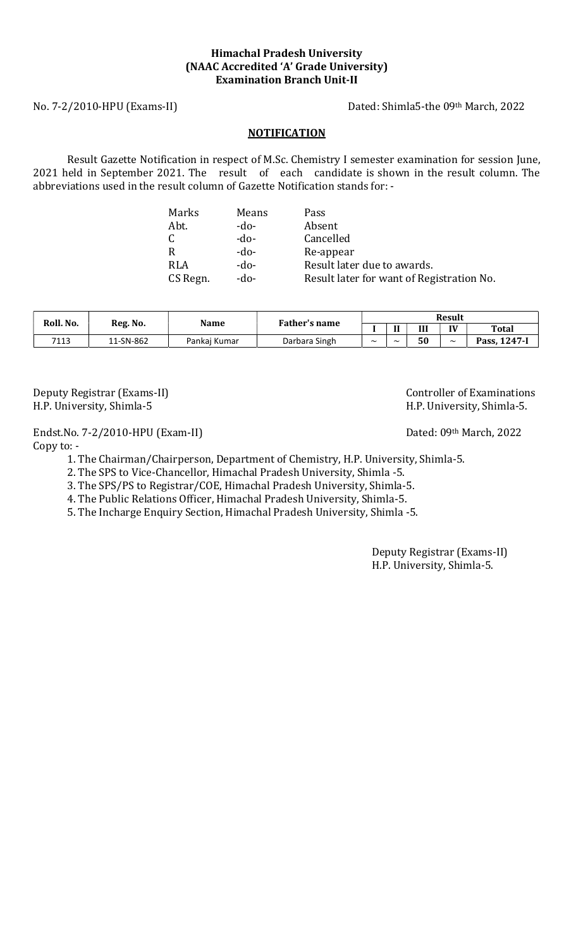# Himachal Pradesh University (NAAC Accredited 'A' Grade University) Examination Branch Unit-II

No. 7-2/2010-HPU (Exams-II) Dated: Shimla5-the 09th March, 2022

### **NOTIFICATION**

Result Gazette Notification in respect of M.Sc. Chemistry I semester examination for session June, 2021 held in September 2021. The result of each candidate is shown in the result column. The abbreviations used in the result column of Gazette Notification stands for: -

| Marks        | Means  | Pass                                      |
|--------------|--------|-------------------------------------------|
| Abt.         | -do-   | Absent                                    |
| $\mathsf{C}$ | $-do-$ | Cancelled                                 |
| R            | $-do-$ | Re-appear                                 |
| <b>RLA</b>   | $-do-$ | Result later due to awards.               |
| CS Regn.     | $-do-$ | Result later for want of Registration No. |

| Roll. No. | Reg. No.  | Name         | Father's name | <b>Result</b>         |            |    |                       |                  |
|-----------|-----------|--------------|---------------|-----------------------|------------|----|-----------------------|------------------|
|           |           |              |               |                       | ш          | Ш  | IV                    | <b>Total</b>     |
| 7113      | 11-SN-862 | Pankai Kumar | Darbara Singh | $\tilde{\phantom{a}}$ | $\tilde{}$ | 50 | $\tilde{\phantom{a}}$ | Pass, $1247 - 1$ |

H.P. University, Shimla-5 H.P. University, Shimla-5.

Endst.No. 7-2/2010-HPU (Exam-II) Dated: 09th March, 2022 Copy to: -

1. The Chairman/Chairperson, Department of Chemistry, H.P. University, Shimla-5.

2. The SPS to Vice-Chancellor, Himachal Pradesh University, Shimla -5.

3. The SPS/PS to Registrar/COE, Himachal Pradesh University, Shimla-5.

4. The Public Relations Officer, Himachal Pradesh University, Shimla-5.

5. The Incharge Enquiry Section, Himachal Pradesh University, Shimla -5.

Deputy Registrar (Exams-II) H.P. University, Shimla-5.

Deputy Registrar (Exams-II) and the controller of Examinations of Examinations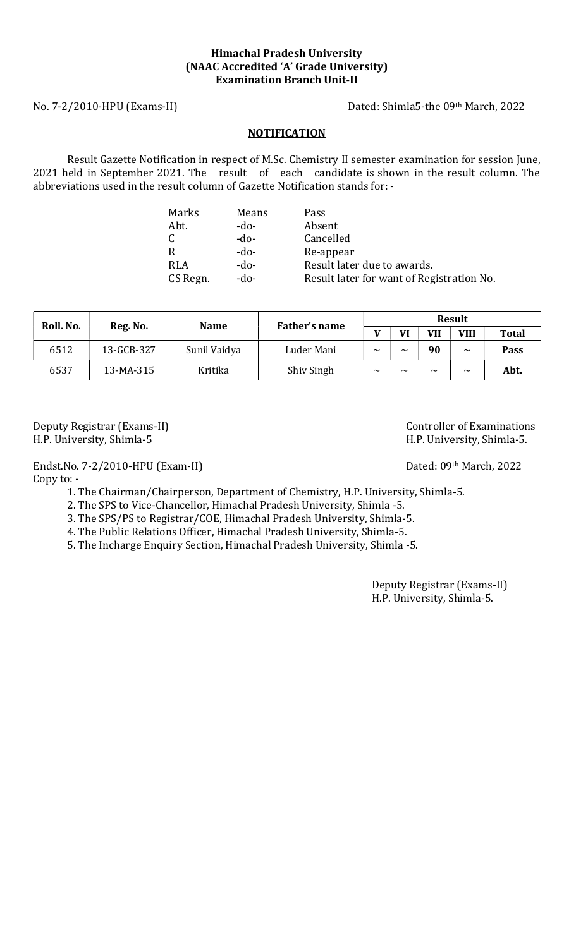# Himachal Pradesh University (NAAC Accredited 'A' Grade University) Examination Branch Unit-II

No. 7-2/2010-HPU (Exams-II) Dated: Shimla5-the 09th March, 2022

## **NOTIFICATION**

Result Gazette Notification in respect of M.Sc. Chemistry II semester examination for session June, 2021 held in September 2021. The result of each candidate is shown in the result column. The abbreviations used in the result column of Gazette Notification stands for: -

| Marks      | Means  | Pass                                      |
|------------|--------|-------------------------------------------|
| Abt.       | $-do-$ | Absent                                    |
| C          | $-do-$ | Cancelled                                 |
| R          | $-do-$ | Re-appear                                 |
| <b>RLA</b> | $-do-$ | Result later due to awards.               |
| CS Regn.   | $-do-$ | Result later for want of Registration No. |

| Roll. No. | Reg. No.   | <b>Name</b>  | Father's name | Result                |                       |                       |                       |              |
|-----------|------------|--------------|---------------|-----------------------|-----------------------|-----------------------|-----------------------|--------------|
|           |            |              |               |                       | VI                    | <b>VII</b>            | VIII                  | <b>Total</b> |
| 6512      | 13-GCB-327 | Sunil Vaidya | Luder Mani    | $\tilde{\phantom{a}}$ | $\tilde{\phantom{a}}$ | 90                    | $\tilde{\phantom{a}}$ | <b>Pass</b>  |
| 6537      | 13-MA-315  | Kritika      | Shiv Singh    | $\tilde{\phantom{a}}$ | $\tilde{\phantom{a}}$ | $\tilde{\phantom{a}}$ | $\tilde{\phantom{a}}$ | Abt.         |

Deputy Registrar (Exams-II) Controller of Examinations H.P. University, Shimla-5 H.P. University, Shimla-5.

Endst.No. 7-2/2010-HPU (Exam-II) Dated: 09th March, 2022

Copy to: -

1. The Chairman/Chairperson, Department of Chemistry, H.P. University, Shimla-5.

2. The SPS to Vice-Chancellor, Himachal Pradesh University, Shimla -5.

3. The SPS/PS to Registrar/COE, Himachal Pradesh University, Shimla-5.

4. The Public Relations Officer, Himachal Pradesh University, Shimla-5.

5. The Incharge Enquiry Section, Himachal Pradesh University, Shimla -5.

Deputy Registrar (Exams-II) H.P. University, Shimla-5.